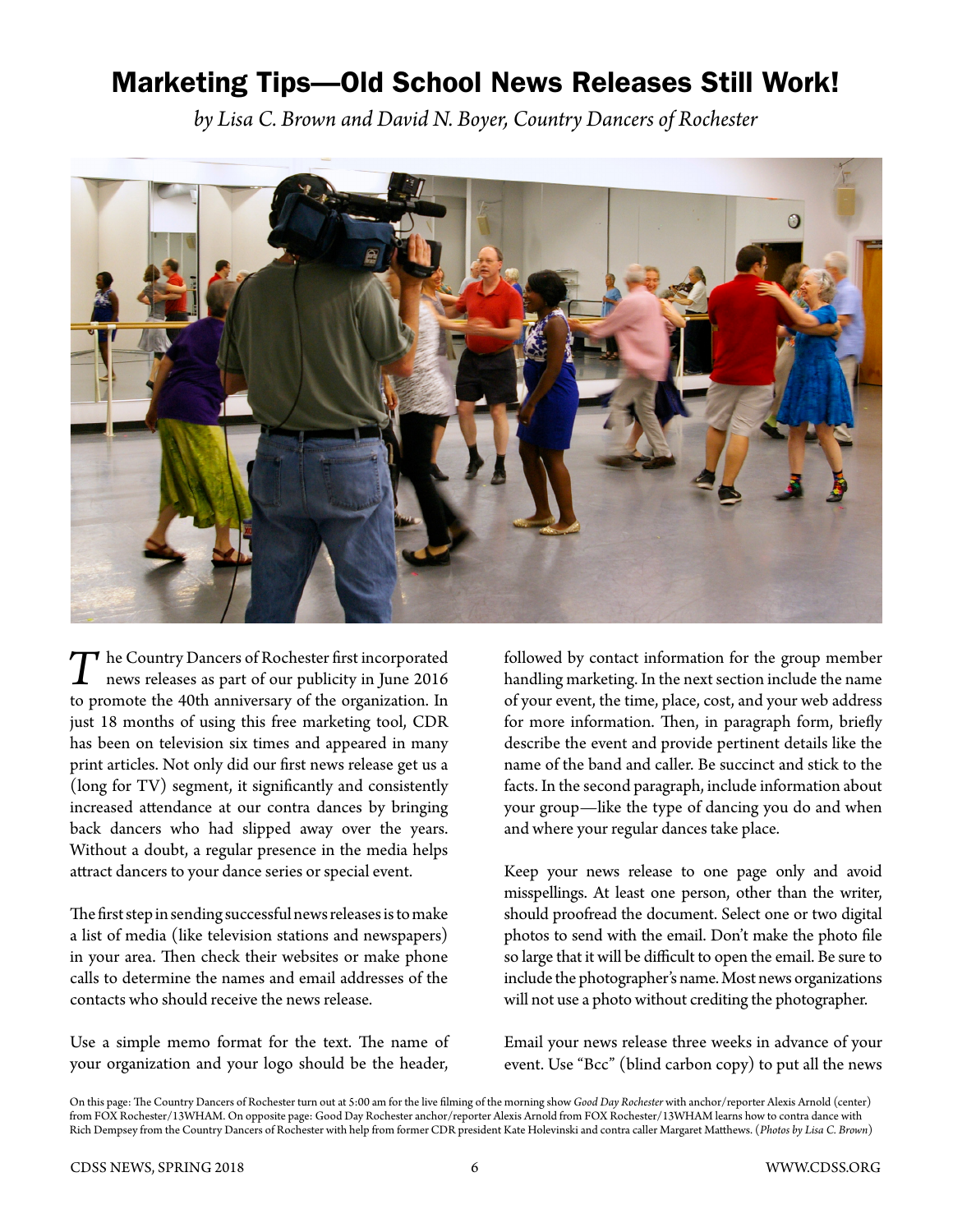## Marketing Tips—Old School News Releases Still Work!

*by Lisa C. Brown and David N. Boyer, Country Dancers of Rochester*



*T*he Country Dancers of Rochester first incorporated news releases as part of our publicity in June 2016 to promote the 40th anniversary of the organization. In just 18 months of using this free marketing tool, CDR has been on television six times and appeared in many print articles. Not only did our first news release get us a (long for TV) segment, it significantly and consistently increased attendance at our contra dances by bringing back dancers who had slipped away over the years. Without a doubt, a regular presence in the media helps attract dancers to your dance series or special event.

The first step in sending successful news releases is to make a list of media (like television stations and newspapers) in your area. Then check their websites or make phone calls to determine the names and email addresses of the contacts who should receive the news release.

Use a simple memo format for the text. The name of your organization and your logo should be the header,

followed by contact information for the group member handling marketing. In the next section include the name of your event, the time, place, cost, and your web address for more information. Then, in paragraph form, briefly describe the event and provide pertinent details like the name of the band and caller. Be succinct and stick to the facts. In the second paragraph, include information about your group—like the type of dancing you do and when and where your regular dances take place.

Keep your news release to one page only and avoid misspellings. At least one person, other than the writer, should proofread the document. Select one or two digital photos to send with the email. Don't make the photo file so large that it will be difficult to open the email. Be sure to include the photographer's name. Most news organizations will not use a photo without crediting the photographer.

Email your news release three weeks in advance of your event. Use "Bcc" (blind carbon copy) to put all the news

On this page: The Country Dancers of Rochester turn out at 5:00 am for the live filming of the morning show *Good Day Rochester* with anchor/reporter Alexis Arnold (center) from FOX Rochester/13WHAM. On opposite page: Good Day Rochester anchor/reporter Alexis Arnold from FOX Rochester/13WHAM learns how to contra dance with Rich Dempsey from the Country Dancers of Rochester with help from former CDR president Kate Holevinski and contra caller Margaret Matthews. (*Photos by Lisa C. Brown*)